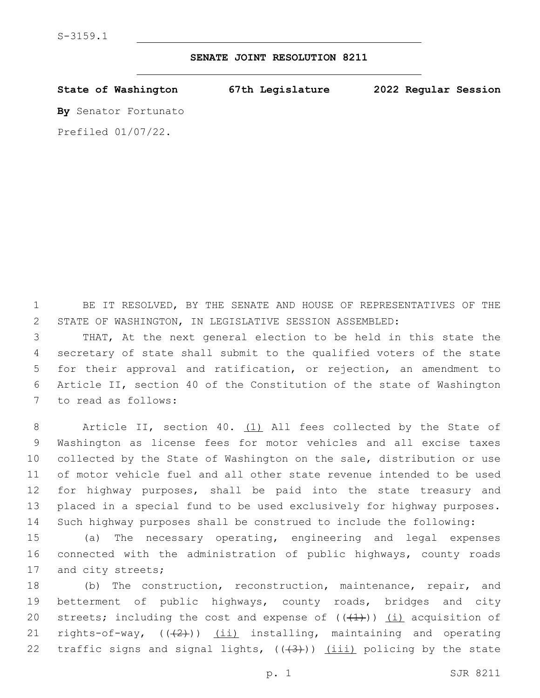## **SENATE JOINT RESOLUTION 8211**

| State of Washington   | 67th Legislature | 2022 Regular Session |  |
|-----------------------|------------------|----------------------|--|
| By Senator Fortunato  |                  |                      |  |
| Prefiled $01/07/22$ . |                  |                      |  |

1 BE IT RESOLVED, BY THE SENATE AND HOUSE OF REPRESENTATIVES OF THE 2 STATE OF WASHINGTON, IN LEGISLATIVE SESSION ASSEMBLED:

 THAT, At the next general election to be held in this state the secretary of state shall submit to the qualified voters of the state for their approval and ratification, or rejection, an amendment to Article II, section 40 of the Constitution of the state of Washington 7 to read as follows:

8 Article II, section 40. (1) All fees collected by the State of Washington as license fees for motor vehicles and all excise taxes collected by the State of Washington on the sale, distribution or use of motor vehicle fuel and all other state revenue intended to be used for highway purposes, shall be paid into the state treasury and placed in a special fund to be used exclusively for highway purposes. Such highway purposes shall be construed to include the following:

15 (a) The necessary operating, engineering and legal expenses 16 connected with the administration of public highways, county roads 17 and city streets;

18 (b) The construction, reconstruction, maintenance, repair, and 19 betterment of public highways, county roads, bridges and city 20 streets; including the cost and expense of  $((+1+))$  (i) acquisition of 21 rights-of-way,  $((+2))$   $(i)$  installing, maintaining and operating 22 traffic signs and signal lights,  $((+3))$   $(iii)$  policing by the state